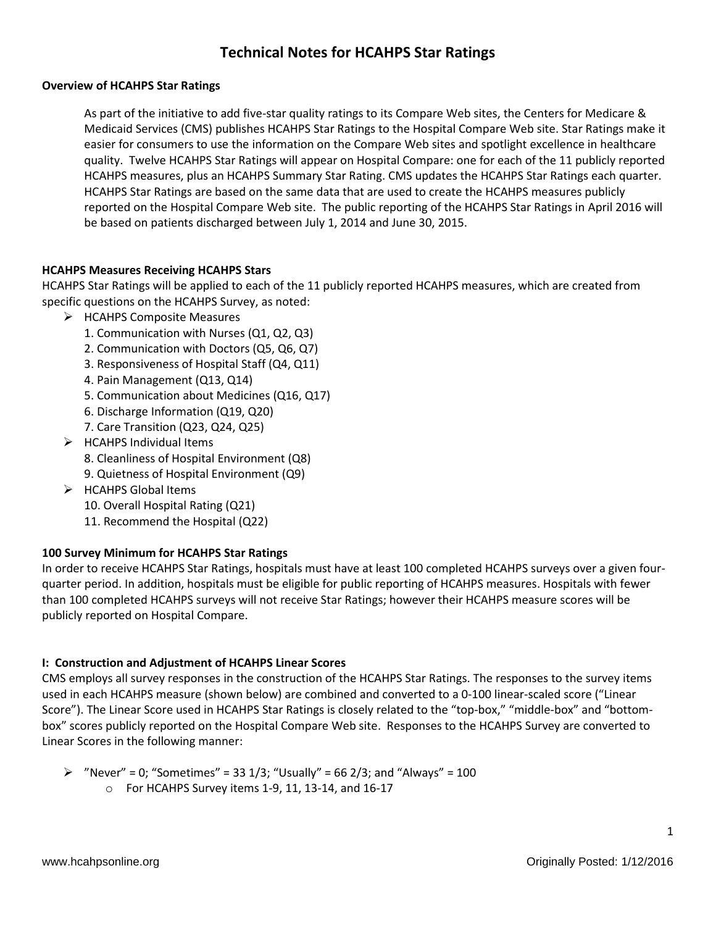# **Technical Notes for HCAHPS Star Ratings**

### **Overview of HCAHPS Star Ratings**

As part of the initiative to add five-star quality ratings to its Compare Web sites, the Centers for Medicare & Medicaid Services (CMS) publishes HCAHPS Star Ratings to the Hospital Compare Web site. Star Ratings make it easier for consumers to use the information on the Compare Web sites and spotlight excellence in healthcare quality. Twelve HCAHPS Star Ratings will appear on Hospital Compare: one for each of the 11 publicly reported HCAHPS measures, plus an HCAHPS Summary Star Rating. CMS updates the HCAHPS Star Ratings each quarter. HCAHPS Star Ratings are based on the same data that are used to create the HCAHPS measures publicly reported on the Hospital Compare Web site. The public reporting of the HCAHPS Star Ratings in April 2016 will be based on patients discharged between July 1, 2014 and June 30, 2015.

### **HCAHPS Measures Receiving HCAHPS Stars**

HCAHPS Star Ratings will be applied to each of the 11 publicly reported HCAHPS measures, which are created from specific questions on the HCAHPS Survey, as noted:

- > HCAHPS Composite Measures
	- 1. Communication with Nurses (Q1, Q2, Q3)
	- 2. Communication with Doctors (Q5, Q6, Q7)
	- 3. Responsiveness of Hospital Staff (Q4, Q11)
	- 4. Pain Management (Q13, Q14)
	- 5. Communication about Medicines (Q16, Q17)
	- 6. Discharge Information (Q19, Q20)
	- 7. Care Transition (Q23, Q24, Q25)
- $\triangleright$  HCAHPS Individual Items
	- 8. Cleanliness of Hospital Environment (Q8)
	- 9. Quietness of Hospital Environment (Q9)
- $\triangleright$  HCAHPS Global Items
	- 10. Overall Hospital Rating (Q21)
	- 11. Recommend the Hospital (Q22)

### **100 Survey Minimum for HCAHPS Star Ratings**

In order to receive HCAHPS Star Ratings, hospitals must have at least 100 completed HCAHPS surveys over a given fourquarter period. In addition, hospitals must be eligible for public reporting of HCAHPS measures. Hospitals with fewer than 100 completed HCAHPS surveys will not receive Star Ratings; however their HCAHPS measure scores will be publicly reported on Hospital Compare.

### **I: Construction and Adjustment of HCAHPS Linear Scores**

CMS employs all survey responses in the construction of the HCAHPS Star Ratings. The responses to the survey items used in each HCAHPS measure (shown below) are combined and converted to a 0-100 linear-scaled score ("Linear Score"). The Linear Score used in HCAHPS Star Ratings is closely related to the "top-box," "middle-box" and "bottombox" scores publicly reported on the Hospital Compare Web site. Responses to the HCAHPS Survey are converted to Linear Scores in the following manner:

 $\triangleright$  "Never" = 0; "Sometimes" = 33 1/3; "Usually" = 66 2/3; and "Always" = 100 o For HCAHPS Survey items 1-9, 11, 13-14, and 16-17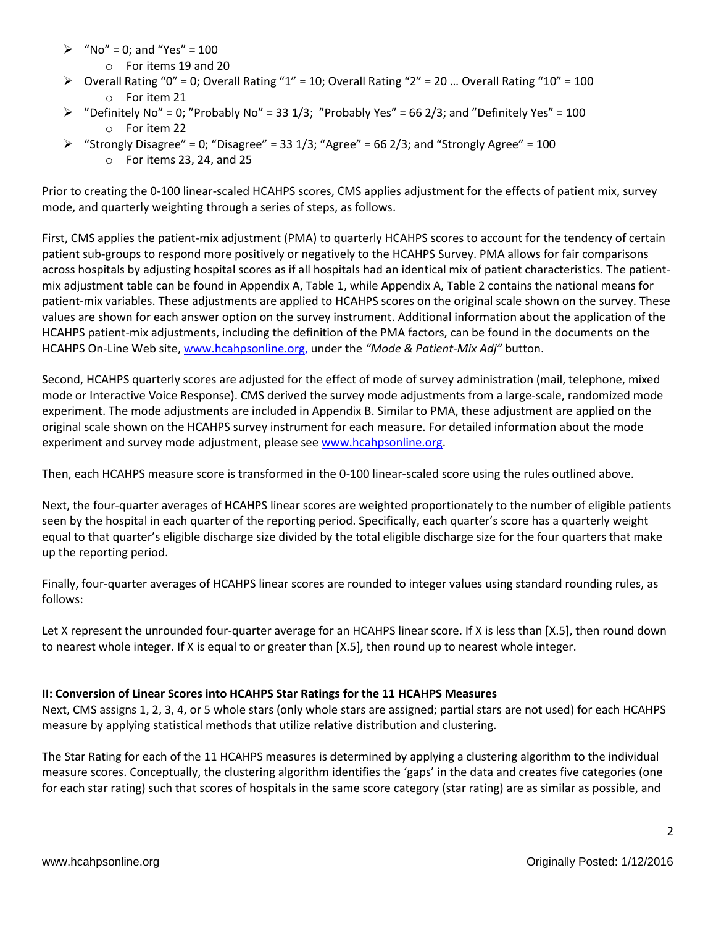- $\triangleright$  "No" = 0; and "Yes" = 100
	- o For items 19 and 20
- $\triangleright$  Overall Rating "0" = 0; Overall Rating "1" = 10; Overall Rating "2" = 20 ... Overall Rating "10" = 100 o For item 21
- $\triangleright$  "Definitely No" = 0; "Probably No" = 33 1/3; "Probably Yes" = 66 2/3; and "Definitely Yes" = 100 o For item 22
- $\triangleright$  "Strongly Disagree" = 0; "Disagree" = 33 1/3; "Agree" = 66 2/3; and "Strongly Agree" = 100
	- o For items 23, 24, and 25

Prior to creating the 0-100 linear-scaled HCAHPS scores, CMS applies adjustment for the effects of patient mix, survey mode, and quarterly weighting through a series of steps, as follows.

First, CMS applies the patient-mix adjustment (PMA) to quarterly HCAHPS scores to account for the tendency of certain patient sub-groups to respond more positively or negatively to the HCAHPS Survey. PMA allows for fair comparisons across hospitals by adjusting hospital scores as if all hospitals had an identical mix of patient characteristics. The patientmix adjustment table can be found in Appendix A, Table 1, while Appendix A, Table 2 contains the national means for patient-mix variables. These adjustments are applied to HCAHPS scores on the original scale shown on the survey. These values are shown for each answer option on the survey instrument. Additional information about the application of the HCAHPS patient-mix adjustments, including the definition of the PMA factors, can be found in the documents on the HCAHPS On-Line Web site, [www.hcahpsonline.org,](http://www.hcahpsonline.org/) under the *"Mode & Patient-Mix Adj"* button.

Second, HCAHPS quarterly scores are adjusted for the effect of mode of survey administration (mail, telephone, mixed mode or Interactive Voice Response). CMS derived the survey mode adjustments from a large-scale, randomized mode experiment. The mode adjustments are included in Appendix B. Similar to PMA, these adjustment are applied on the original scale shown on the HCAHPS survey instrument for each measure. For detailed information about the mode experiment and survey mode adjustment, please see [www.hcahpsonline.org.](http://www.hcahpsonline.org/)

Then, each HCAHPS measure score is transformed in the 0-100 linear-scaled score using the rules outlined above.

Next, the four-quarter averages of HCAHPS linear scores are weighted proportionately to the number of eligible patients seen by the hospital in each quarter of the reporting period. Specifically, each quarter's score has a quarterly weight equal to that quarter's eligible discharge size divided by the total eligible discharge size for the four quarters that make up the reporting period.

Finally, four-quarter averages of HCAHPS linear scores are rounded to integer values using standard rounding rules, as follows:

Let X represent the unrounded four-quarter average for an HCAHPS linear score. If X is less than [X.5], then round down to nearest whole integer. If X is equal to or greater than [X.5], then round up to nearest whole integer.

### **II: Conversion of Linear Scores into HCAHPS Star Ratings for the 11 HCAHPS Measures**

Next, CMS assigns 1, 2, 3, 4, or 5 whole stars (only whole stars are assigned; partial stars are not used) for each HCAHPS measure by applying statistical methods that utilize relative distribution and clustering.

The Star Rating for each of the 11 HCAHPS measures is determined by applying a clustering algorithm to the individual measure scores. Conceptually, the clustering algorithm identifies the 'gaps' in the data and creates five categories (one for each star rating) such that scores of hospitals in the same score category (star rating) are as similar as possible, and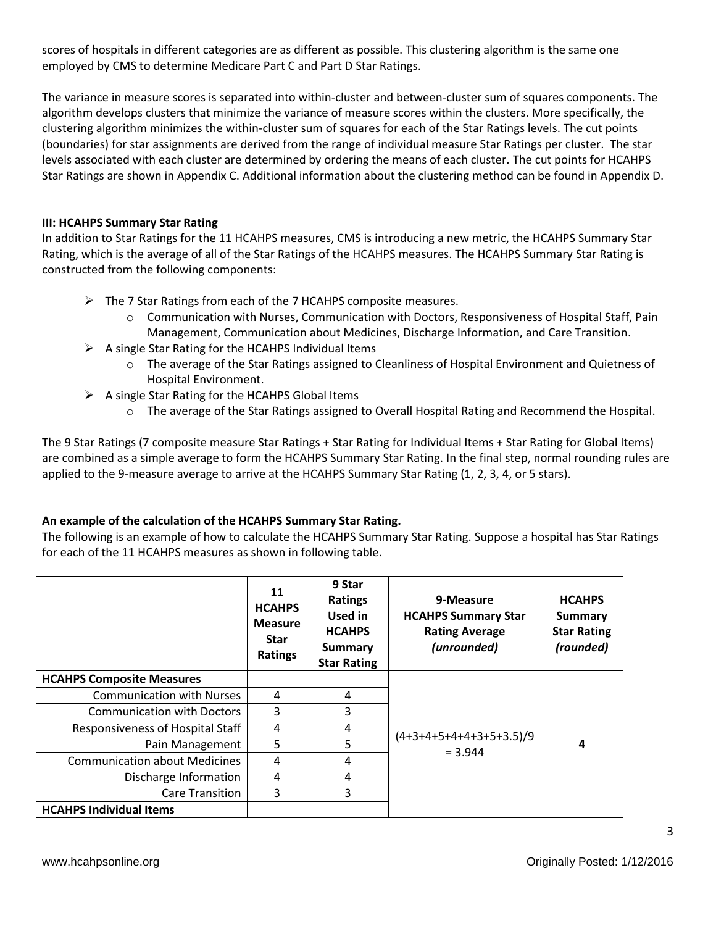scores of hospitals in different categories are as different as possible. This clustering algorithm is the same one employed by CMS to determine Medicare Part C and Part D Star Ratings.

The variance in measure scores is separated into within-cluster and between-cluster sum of squares components. The algorithm develops clusters that minimize the variance of measure scores within the clusters. More specifically, the clustering algorithm minimizes the within-cluster sum of squares for each of the Star Ratings levels. The cut points (boundaries) for star assignments are derived from the range of individual measure Star Ratings per cluster. The star levels associated with each cluster are determined by ordering the means of each cluster. The cut points for HCAHPS Star Ratings are shown in Appendix C. Additional information about the clustering method can be found in Appendix D.

### **III: HCAHPS Summary Star Rating**

In addition to Star Ratings for the 11 HCAHPS measures, CMS is introducing a new metric, the HCAHPS Summary Star Rating, which is the average of all of the Star Ratings of the HCAHPS measures. The HCAHPS Summary Star Rating is constructed from the following components:

- $\triangleright$  The 7 Star Ratings from each of the 7 HCAHPS composite measures.
	- $\circ$  Communication with Nurses, Communication with Doctors, Responsiveness of Hospital Staff, Pain Management, Communication about Medicines, Discharge Information, and Care Transition.
- $\triangleright$  A single Star Rating for the HCAHPS Individual Items
	- o The average of the Star Ratings assigned to Cleanliness of Hospital Environment and Quietness of Hospital Environment.
- $\triangleright$  A single Star Rating for the HCAHPS Global Items
	- o The average of the Star Ratings assigned to Overall Hospital Rating and Recommend the Hospital.

The 9 Star Ratings (7 composite measure Star Ratings + Star Rating for Individual Items + Star Rating for Global Items) are combined as a simple average to form the HCAHPS Summary Star Rating. In the final step, normal rounding rules are applied to the 9-measure average to arrive at the HCAHPS Summary Star Rating (1, 2, 3, 4, or 5 stars).

### **An example of the calculation of the HCAHPS Summary Star Rating.**

The following is an example of how to calculate the HCAHPS Summary Star Rating. Suppose a hospital has Star Ratings for each of the 11 HCAHPS measures as shown in following table.

|                                      | 11<br><b>HCAHPS</b><br><b>Measure</b><br><b>Star</b><br>Ratings | 9 Star<br><b>Ratings</b><br>Used in<br><b>HCAHPS</b><br><b>Summary</b><br><b>Star Rating</b> | 9-Measure<br><b>HCAHPS Summary Star</b><br><b>Rating Average</b><br>(unrounded) | <b>HCAHPS</b><br>Summary<br><b>Star Rating</b><br>(rounded) |
|--------------------------------------|-----------------------------------------------------------------|----------------------------------------------------------------------------------------------|---------------------------------------------------------------------------------|-------------------------------------------------------------|
| <b>HCAHPS Composite Measures</b>     |                                                                 |                                                                                              |                                                                                 | 4                                                           |
| <b>Communication with Nurses</b>     | 4                                                               | 4                                                                                            |                                                                                 |                                                             |
| <b>Communication with Doctors</b>    | 3                                                               | 3                                                                                            |                                                                                 |                                                             |
| Responsiveness of Hospital Staff     | 4                                                               | 4                                                                                            |                                                                                 |                                                             |
| Pain Management                      | 5                                                               | 5                                                                                            | $(4+3+4+5+4+4+3+5+3.5)/9$<br>$= 3.944$                                          |                                                             |
| <b>Communication about Medicines</b> | 4                                                               | 4                                                                                            |                                                                                 |                                                             |
| Discharge Information                | 4                                                               | 4                                                                                            |                                                                                 |                                                             |
| <b>Care Transition</b>               | 3                                                               | 3                                                                                            |                                                                                 |                                                             |
| <b>HCAHPS Individual Items</b>       |                                                                 |                                                                                              |                                                                                 |                                                             |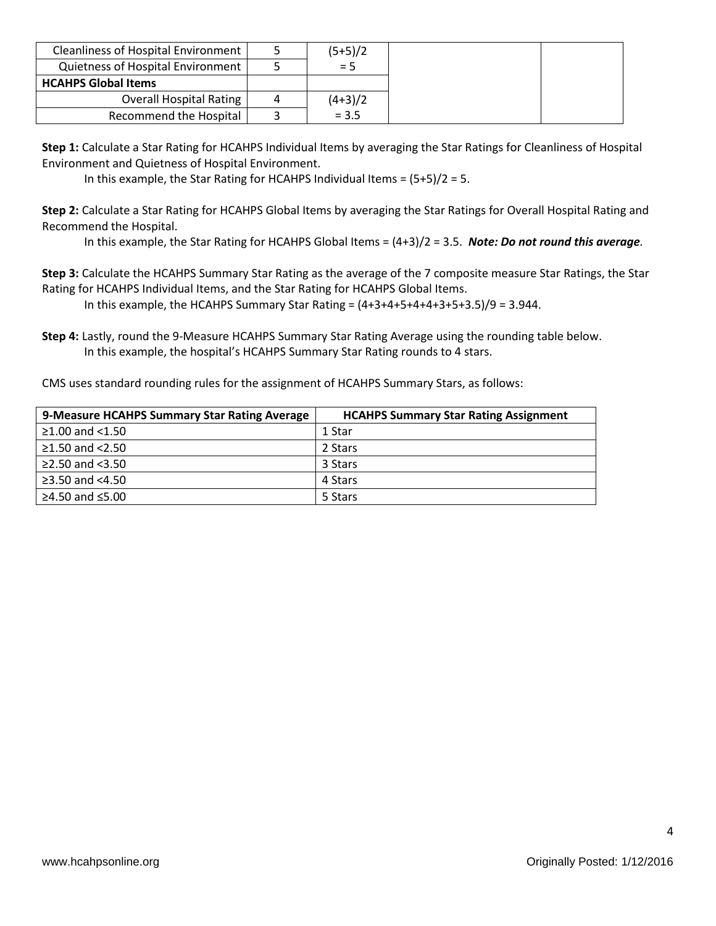| <b>Cleanliness of Hospital Environment</b> |   | $(5+5)/2$ |
|--------------------------------------------|---|-----------|
| Quietness of Hospital Environment          |   | $= 5$     |
| <b>HCAHPS Global Items</b>                 |   |           |
| <b>Overall Hospital Rating</b>             | 4 | $(4+3)/2$ |
| Recommend the Hospital                     |   | $= 3.5$   |

**Step 1:** Calculate a Star Rating for HCAHPS Individual Items by averaging the Star Ratings for Cleanliness of Hospital Environment and Quietness of Hospital Environment.

In this example, the Star Rating for HCAHPS Individual Items = (5+5)/2 = 5.

**Step 2:** Calculate a Star Rating for HCAHPS Global Items by averaging the Star Ratings for Overall Hospital Rating and Recommend the Hospital.

In this example, the Star Rating for HCAHPS Global Items = (4+3)/2 = 3.5. *Note: Do not round this average.*

**Step 3:** Calculate the HCAHPS Summary Star Rating as the average of the 7 composite measure Star Ratings, the Star Rating for HCAHPS Individual Items, and the Star Rating for HCAHPS Global Items.

In this example, the HCAHPS Summary Star Rating =  $(4+3+4+5+4+4+3+5+3.5)/9 = 3.944$ .

**Step 4:** Lastly, round the 9-Measure HCAHPS Summary Star Rating Average using the rounding table below. In this example, the hospital's HCAHPS Summary Star Rating rounds to 4 stars.

CMS uses standard rounding rules for the assignment of HCAHPS Summary Stars, as follows:

| 9-Measure HCAHPS Summary Star Rating Average | <b>HCAHPS Summary Star Rating Assignment</b> |
|----------------------------------------------|----------------------------------------------|
| ≥1.00 and $<$ 1.50                           | 1 Star                                       |
| ≥1.50 and $<$ 2.50                           | 2 Stars                                      |
| $\ge$ 2.50 and <3.50                         | 3 Stars                                      |
| ≥3.50 and <4.50                              | 4 Stars                                      |
| ≥4.50 and ≤5.00                              | 5 Stars                                      |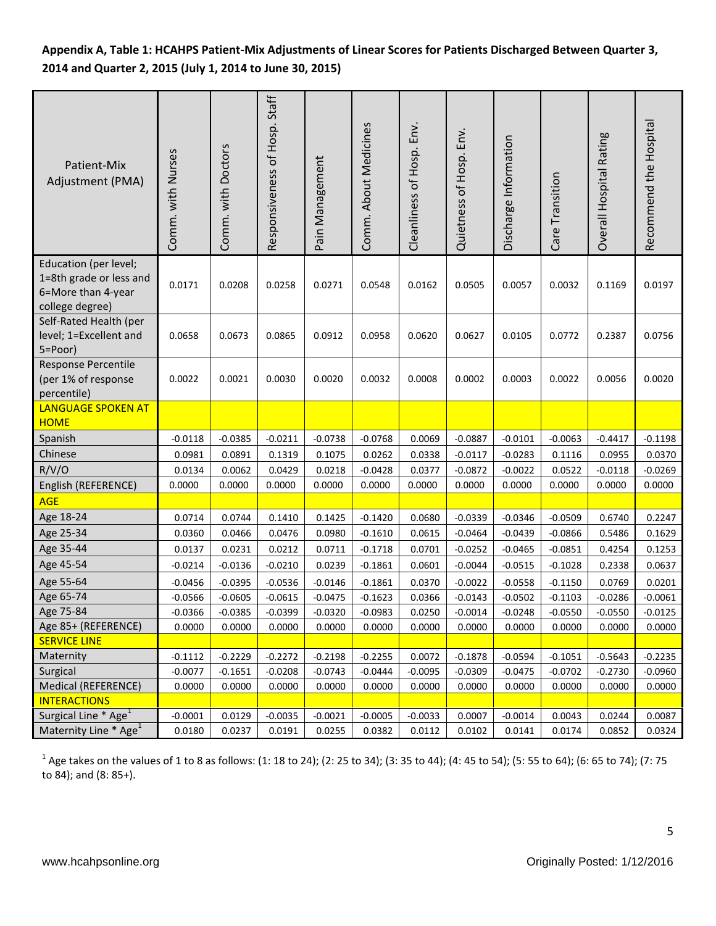## **Appendix A, Table 1: HCAHPS Patient-Mix Adjustments of Linear Scores for Patients Discharged Between Quarter 3, 2014 and Quarter 2, 2015 (July 1, 2014 to June 30, 2015)**

| Patient-Mix<br>Adjustment (PMA)                                                           | Comm. with Nurses | Comm. with Doctors | Responsiveness of Hosp. Staff | Pain Management | Comm. About Medicines | Cleanliness of Hosp. Env. | Quietness of Hosp. Env. | Discharge Information | Care Transition | Overall Hospital Rating | Recommend the Hospital |
|-------------------------------------------------------------------------------------------|-------------------|--------------------|-------------------------------|-----------------|-----------------------|---------------------------|-------------------------|-----------------------|-----------------|-------------------------|------------------------|
| Education (per level;<br>1=8th grade or less and<br>6=More than 4-year<br>college degree) | 0.0171            | 0.0208             | 0.0258                        | 0.0271          | 0.0548                | 0.0162                    | 0.0505                  | 0.0057                | 0.0032          | 0.1169                  | 0.0197                 |
| Self-Rated Health (per<br>level; 1=Excellent and<br>5=Poor)                               | 0.0658            | 0.0673             | 0.0865                        | 0.0912          | 0.0958                | 0.0620                    | 0.0627                  | 0.0105                | 0.0772          | 0.2387                  | 0.0756                 |
| Response Percentile<br>(per 1% of response<br>percentile)                                 | 0.0022            | 0.0021             | 0.0030                        | 0.0020          | 0.0032                | 0.0008                    | 0.0002                  | 0.0003                | 0.0022          | 0.0056                  | 0.0020                 |
| <b>LANGUAGE SPOKEN AT</b><br><b>HOME</b>                                                  |                   |                    |                               |                 |                       |                           |                         |                       |                 |                         |                        |
| Spanish                                                                                   | $-0.0118$         | $-0.0385$          | $-0.0211$                     | $-0.0738$       | $-0.0768$             | 0.0069                    | $-0.0887$               | $-0.0101$             | $-0.0063$       | $-0.4417$               | $-0.1198$              |
| Chinese                                                                                   | 0.0981            | 0.0891             | 0.1319                        | 0.1075          | 0.0262                | 0.0338                    | $-0.0117$               | $-0.0283$             | 0.1116          | 0.0955                  | 0.0370                 |
| R/V/O                                                                                     | 0.0134            | 0.0062             | 0.0429                        | 0.0218          | $-0.0428$             | 0.0377                    | $-0.0872$               | $-0.0022$             | 0.0522          | $-0.0118$               | $-0.0269$              |
| English (REFERENCE)                                                                       | 0.0000            | 0.0000             | 0.0000                        | 0.0000          | 0.0000                | 0.0000                    | 0.0000                  | 0.0000                | 0.0000          | 0.0000                  | 0.0000                 |
| <b>AGE</b>                                                                                |                   |                    |                               |                 |                       |                           |                         |                       |                 |                         |                        |
| Age 18-24                                                                                 | 0.0714            | 0.0744             | 0.1410                        | 0.1425          | $-0.1420$             | 0.0680                    | $-0.0339$               | $-0.0346$             | $-0.0509$       | 0.6740                  | 0.2247                 |
| Age 25-34                                                                                 | 0.0360            | 0.0466             | 0.0476                        | 0.0980          | $-0.1610$             | 0.0615                    | $-0.0464$               | $-0.0439$             | $-0.0866$       | 0.5486                  | 0.1629                 |
| Age 35-44                                                                                 | 0.0137            | 0.0231             | 0.0212                        | 0.0711          | $-0.1718$             | 0.0701                    | $-0.0252$               | $-0.0465$             | $-0.0851$       | 0.4254                  | 0.1253                 |
| Age 45-54                                                                                 | $-0.0214$         | $-0.0136$          | $-0.0210$                     | 0.0239          | $-0.1861$             | 0.0601                    | $-0.0044$               | $-0.0515$             | $-0.1028$       | 0.2338                  | 0.0637                 |
| Age 55-64                                                                                 | $-0.0456$         | $-0.0395$          | $-0.0536$                     | $-0.0146$       | $-0.1861$             | 0.0370                    | $-0.0022$               | $-0.0558$             | $-0.1150$       | 0.0769                  | 0.0201                 |
| Age 65-74                                                                                 | $-0.0566$         | $-0.0605$          | $-0.0615$                     | $-0.0475$       | $-0.1623$             | 0.0366                    | $-0.0143$               | $-0.0502$             | $-0.1103$       | $-0.0286$               | $-0.0061$              |
| Age 75-84                                                                                 | $-0.0366$         | $-0.0385$          | $-0.0399$                     | $-0.0320$       | $-0.0983$             | 0.0250                    | $-0.0014$               | $-0.0248$             | $-0.0550$       | $-0.0550$               | $-0.0125$              |
| Age 85+ (REFERENCE)                                                                       | 0.0000            | 0.0000             | 0.0000                        | 0.0000          | 0.0000                | 0.0000                    | 0.0000                  | 0.0000                | 0.0000          | 0.0000                  | 0.0000                 |
| <b>SERVICE LINE</b>                                                                       |                   |                    |                               |                 |                       |                           |                         |                       |                 |                         |                        |
| Maternity                                                                                 | $-0.1112$         | $-0.2229$          | $-0.2272$                     | $-0.2198$       | $-0.2255$             | 0.0072                    | $-0.1878$               | $-0.0594$             | $-0.1051$       | $-0.5643$               | $-0.2235$              |
| Surgical                                                                                  | $-0.0077$         | $-0.1651$          | $-0.0208$                     | $-0.0743$       | $-0.0444$             | $-0.0095$                 | $-0.0309$               | $-0.0475$             | $-0.0702$       | $-0.2730$               | $-0.0960$              |
| Medical (REFERENCE)                                                                       | 0.0000            | 0.0000             | 0.0000                        | 0.0000          | 0.0000                | 0.0000                    | 0.0000                  | 0.0000                | 0.0000          | 0.0000                  | 0.0000                 |
| <b>INTERACTIONS</b>                                                                       |                   |                    |                               |                 |                       |                           |                         |                       |                 |                         |                        |
| Surgical Line * Age <sup>1</sup>                                                          | $-0.0001$         | 0.0129             | $-0.0035$                     | $-0.0021$       | $-0.0005$             | $-0.0033$                 | 0.0007                  | $-0.0014$             | 0.0043          | 0.0244                  | 0.0087                 |
| Maternity Line * Age <sup>1</sup>                                                         | 0.0180            | 0.0237             | 0.0191                        | 0.0255          | 0.0382                | 0.0112                    | 0.0102                  | 0.0141                | 0.0174          | 0.0852                  | 0.0324                 |

 $^1$  Age takes on the values of 1 to 8 as follows: (1: 18 to 24); (2: 25 to 34); (3: 35 to 44); (4: 45 to 54); (5: 55 to 64); (6: 65 to 74); (7: 75 to 84); and (8: 85+).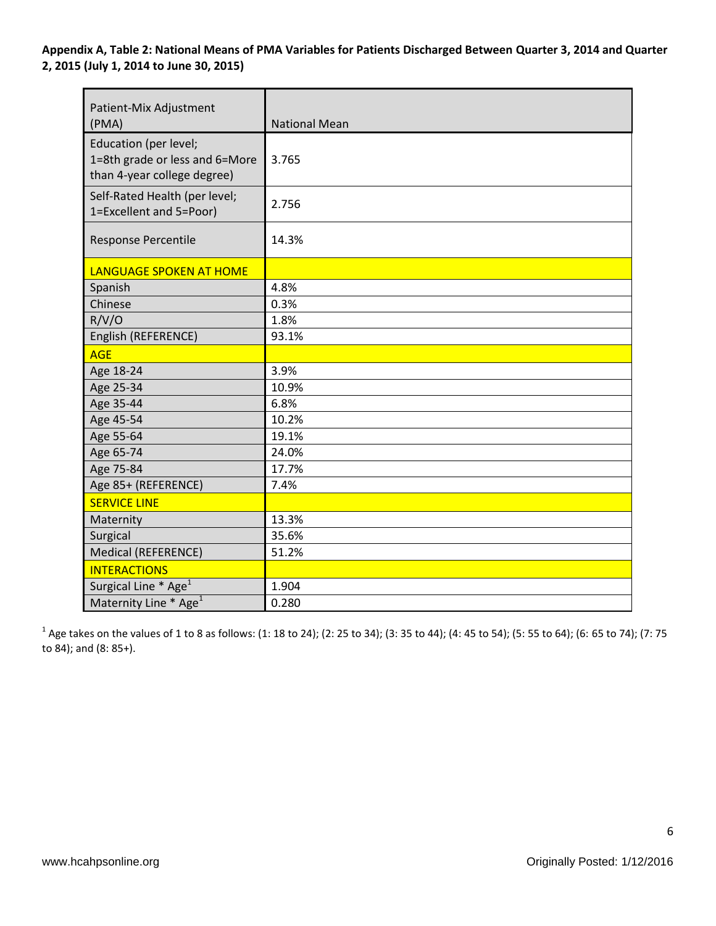**Appendix A, Table 2: National Means of PMA Variables for Patients Discharged Between Quarter 3, 2014 and Quarter 2, 2015 (July 1, 2014 to June 30, 2015)**

| Patient-Mix Adjustment<br>(PMA)                                                        | <b>National Mean</b> |
|----------------------------------------------------------------------------------------|----------------------|
| Education (per level;<br>1=8th grade or less and 6=More<br>than 4-year college degree) | 3.765                |
| Self-Rated Health (per level;<br>1=Excellent and 5=Poor)                               | 2.756                |
| Response Percentile                                                                    | 14.3%                |
| <b>LANGUAGE SPOKEN AT HOME</b>                                                         |                      |
| Spanish                                                                                | 4.8%                 |
| Chinese                                                                                | 0.3%                 |
| R/V/O                                                                                  | 1.8%                 |
| English (REFERENCE)                                                                    | 93.1%                |
| <b>AGE</b>                                                                             |                      |
| Age 18-24                                                                              | 3.9%                 |
| Age 25-34                                                                              | 10.9%                |
| Age 35-44                                                                              | 6.8%                 |
| Age 45-54                                                                              | 10.2%                |
| Age 55-64                                                                              | 19.1%                |
| Age 65-74                                                                              | 24.0%                |
| Age 75-84                                                                              | 17.7%                |
| Age 85+ (REFERENCE)                                                                    | 7.4%                 |
| <b>SERVICE LINE</b>                                                                    |                      |
| Maternity                                                                              | 13.3%                |
| Surgical                                                                               | 35.6%                |
| Medical (REFERENCE)                                                                    | 51.2%                |
| <b>INTERACTIONS</b>                                                                    |                      |
| Surgical Line * Age <sup>1</sup>                                                       | 1.904                |
| Maternity Line * Age <sup>1</sup>                                                      | 0.280                |

 $^1$  Age takes on the values of 1 to 8 as follows: (1: 18 to 24); (2: 25 to 34); (3: 35 to 44); (4: 45 to 54); (5: 55 to 64); (6: 65 to 74); (7: 75 to 84); and (8: 85+).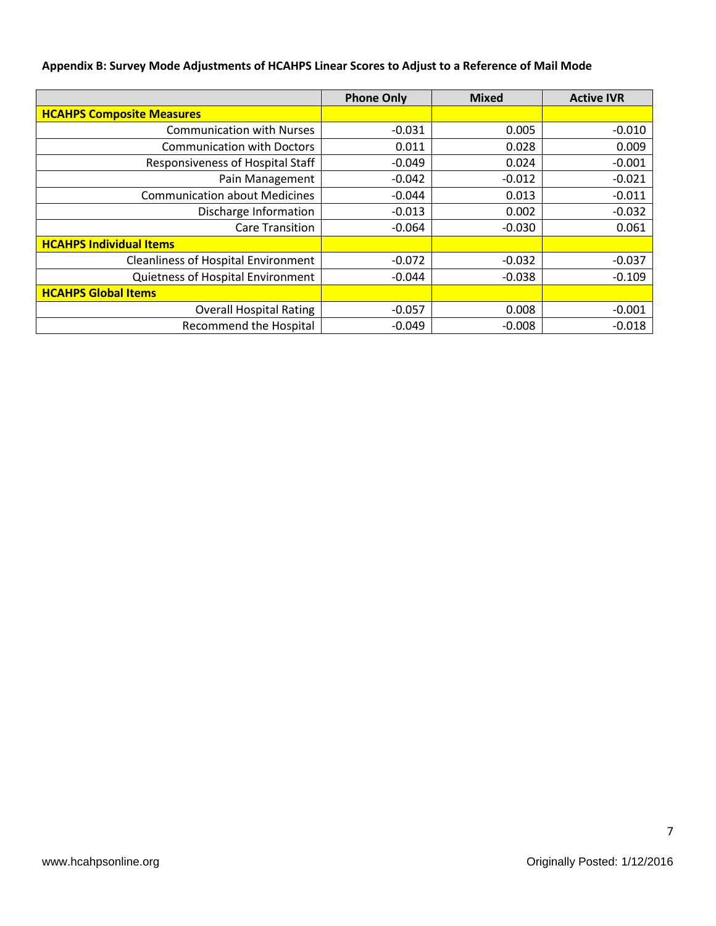## **Appendix B: Survey Mode Adjustments of HCAHPS Linear Scores to Adjust to a Reference of Mail Mode**

|                                            | <b>Phone Only</b> | <b>Mixed</b> | <b>Active IVR</b> |
|--------------------------------------------|-------------------|--------------|-------------------|
| <b>HCAHPS Composite Measures</b>           |                   |              |                   |
| <b>Communication with Nurses</b>           | $-0.031$          | 0.005        | $-0.010$          |
| <b>Communication with Doctors</b>          | 0.011             | 0.028        | 0.009             |
| Responsiveness of Hospital Staff           | $-0.049$          | 0.024        | $-0.001$          |
| Pain Management                            | $-0.042$          | $-0.012$     | $-0.021$          |
| <b>Communication about Medicines</b>       | $-0.044$          | 0.013        | $-0.011$          |
| Discharge Information                      | $-0.013$          | 0.002        | $-0.032$          |
| <b>Care Transition</b>                     | $-0.064$          | $-0.030$     | 0.061             |
| <b>HCAHPS Individual Items</b>             |                   |              |                   |
| <b>Cleanliness of Hospital Environment</b> | $-0.072$          | $-0.032$     | $-0.037$          |
| Quietness of Hospital Environment          | $-0.044$          | $-0.038$     | $-0.109$          |
| <b>HCAHPS Global Items</b>                 |                   |              |                   |
| <b>Overall Hospital Rating</b>             | $-0.057$          | 0.008        | $-0.001$          |
| Recommend the Hospital                     | $-0.049$          | $-0.008$     | $-0.018$          |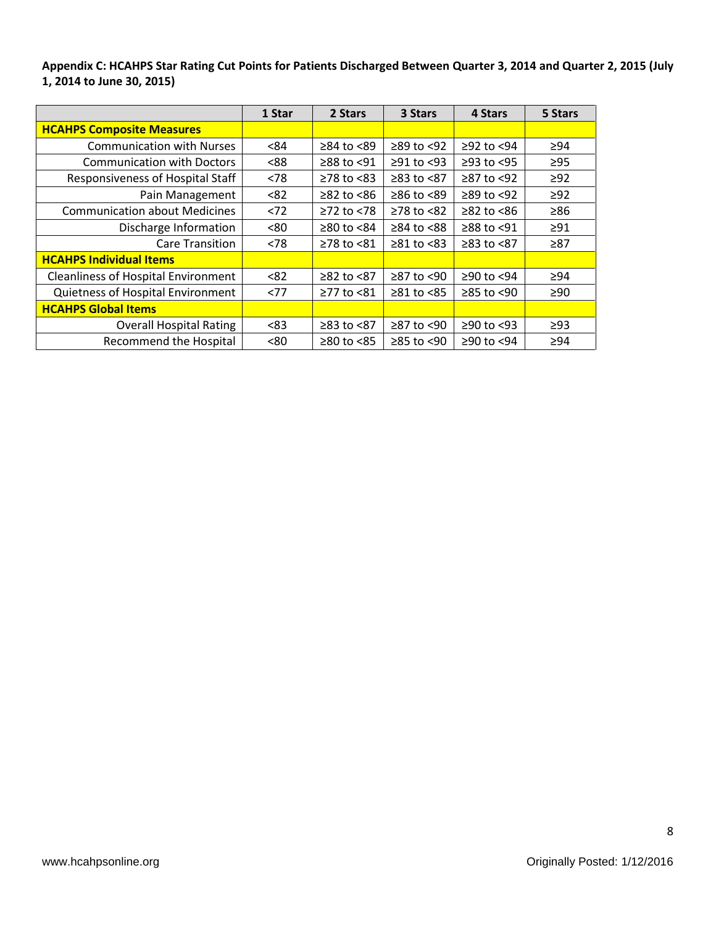**Appendix C: HCAHPS Star Rating Cut Points for Patients Discharged Between Quarter 3, 2014 and Quarter 2, 2015 (July 1, 2014 to June 30, 2015)**

|                                            | 1 Star | 2 Stars          | 3 Stars          | 4 Stars          | 5 Stars   |
|--------------------------------------------|--------|------------------|------------------|------------------|-----------|
| <b>HCAHPS Composite Measures</b>           |        |                  |                  |                  |           |
| <b>Communication with Nurses</b>           | <84    | $≥84$ to $≤89$   | $≥89$ to <92     | $≥92$ to <94     | $\geq 94$ |
| <b>Communication with Doctors</b>          | <88    | $\geq$ 88 to <91 | $≥91$ to <93     | $≥93$ to $<95$   | $\geq$ 95 |
| Responsiveness of Hospital Staff           | < 78   | $\geq$ 78 to <83 | $≥83$ to $<87$   | ≥87 to <92       | $\geq$ 92 |
| Pain Management                            | < 82   | $\geq$ 82 to <86 | $≥86$ to <89     | $\geq$ 89 to <92 | $\geq$ 92 |
| <b>Communication about Medicines</b>       | < 72   | $≥72$ to $≤78$   | $≥78$ to $≤82$   | $≥82$ to $≤86$   | $\geq 86$ |
| Discharge Information                      | <80    | $≥80$ to $<84$   | $≥84$ to $≤88$   | $≥88$ to <91     | $\geq 91$ |
| <b>Care Transition</b>                     | < 78   | ≥78 to <81       | $\geq 81$ to <83 | ≥83 to <87       | $\geq 87$ |
| <b>HCAHPS Individual Items</b>             |        |                  |                  |                  |           |
| <b>Cleanliness of Hospital Environment</b> | < 82   | $≥82$ to $≤87$   | ≥87 to <90       | ≥90 to <94       | ≥94       |
| Quietness of Hospital Environment          | <77    | $≥77$ to $≤81$   | $≥81$ to $≤85$   | $≥85$ to <90     | $\geq 90$ |
| <b>HCAHPS Global Items</b>                 |        |                  |                  |                  |           |
| <b>Overall Hospital Rating</b>             | <83    | ≥83 to <87       | ≥87 to <90       | $≥90$ to <93     | $\geq$ 93 |
| <b>Recommend the Hospital</b>              | <80    | $≥80$ to $≤85$   | ≥85 to <90       | ≥90 to <94       | $\geq 94$ |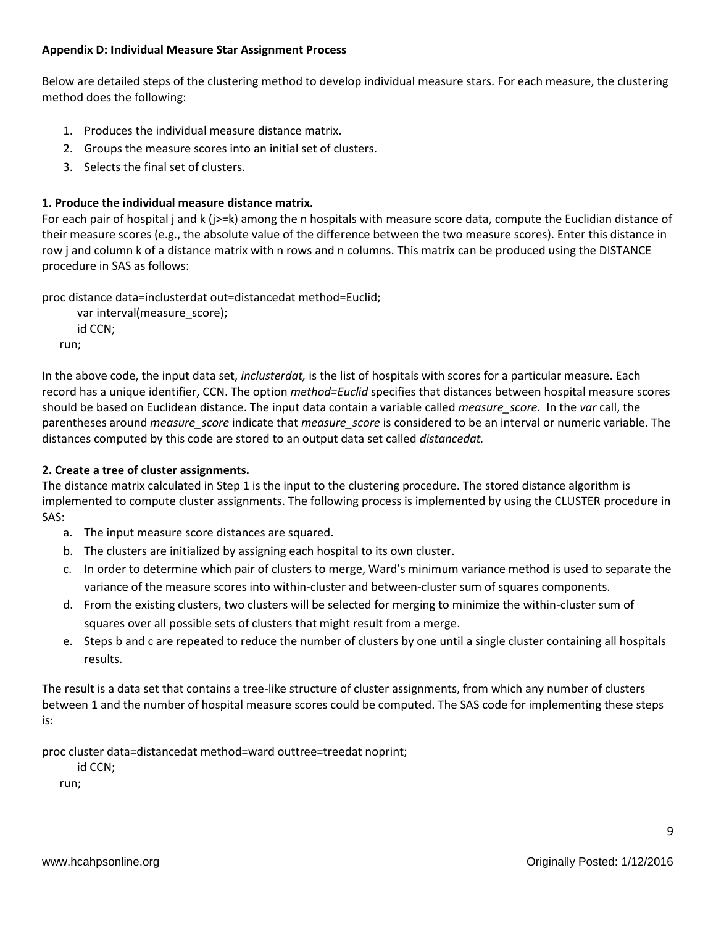### **Appendix D: Individual Measure Star Assignment Process**

Below are detailed steps of the clustering method to develop individual measure stars. For each measure, the clustering method does the following:

- 1. Produces the individual measure distance matrix.
- 2. Groups the measure scores into an initial set of clusters.
- 3. Selects the final set of clusters.

## **1. Produce the individual measure distance matrix.**

For each pair of hospital j and k (j>=k) among the n hospitals with measure score data, compute the Euclidian distance of their measure scores (e.g., the absolute value of the difference between the two measure scores). Enter this distance in row j and column k of a distance matrix with n rows and n columns. This matrix can be produced using the DISTANCE procedure in SAS as follows:

proc distance data=inclusterdat out=distancedat method=Euclid;

```
 var interval(measure_score);
   id CCN;
run;
```
In the above code, the input data set, *inclusterdat,* is the list of hospitals with scores for a particular measure. Each record has a unique identifier, CCN. The option *method=Euclid* specifies that distances between hospital measure scores should be based on Euclidean distance. The input data contain a variable called *measure\_score.* In the *var* call, the parentheses around *measure\_score* indicate that *measure\_score* is considered to be an interval or numeric variable. The distances computed by this code are stored to an output data set called *distancedat.*

## **2. Create a tree of cluster assignments.**

The distance matrix calculated in Step 1 is the input to the clustering procedure. The stored distance algorithm is implemented to compute cluster assignments. The following process is implemented by using the CLUSTER procedure in SAS:

- a. The input measure score distances are squared.
- b. The clusters are initialized by assigning each hospital to its own cluster.
- c. In order to determine which pair of clusters to merge, Ward's minimum variance method is used to separate the variance of the measure scores into within-cluster and between-cluster sum of squares components.
- d. From the existing clusters, two clusters will be selected for merging to minimize the within-cluster sum of squares over all possible sets of clusters that might result from a merge.
- e. Steps b and c are repeated to reduce the number of clusters by one until a single cluster containing all hospitals results.

The result is a data set that contains a tree-like structure of cluster assignments, from which any number of clusters between 1 and the number of hospital measure scores could be computed. The SAS code for implementing these steps is:

proc cluster data=distancedat method=ward outtree=treedat noprint;

id CCN;

run;

9